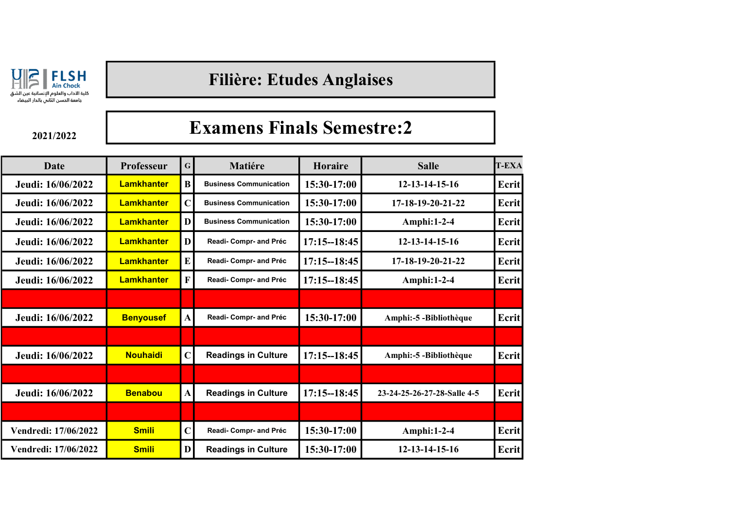

## Filière: Etudes Anglaises

2021/2022

## Examens Finals Semestre:2

| <b>Date</b>          | Professeur        | $\mathbf G$  | <b>Matiére</b>                | Horaire         | <b>Salle</b>                | <b>T-EXA</b> |
|----------------------|-------------------|--------------|-------------------------------|-----------------|-----------------------------|--------------|
| Jeudi: 16/06/2022    | <b>Lamkhanter</b> | $\bf{B}$     | <b>Business Communication</b> | 15:30-17:00     | 12-13-14-15-16              | <b>Ecrit</b> |
| Jeudi: 16/06/2022    | <b>Lamkhanter</b> | $\mathbf C$  | <b>Business Communication</b> | 15:30-17:00     | 17-18-19-20-21-22           | Ecrit        |
| Jeudi: 16/06/2022    | <b>Lamkhanter</b> | D            | <b>Business Communication</b> | 15:30-17:00     | Amphi:1-2-4                 | Ecrit        |
| Jeudi: 16/06/2022    | <b>Lamkhanter</b> | D            | Readi- Compr- and Préc        | $17:15 - 18:45$ | 12-13-14-15-16              | Ecrit        |
| Jeudi: 16/06/2022    | <b>Lamkhanter</b> | E            | Readi- Compr- and Préc        | $17:15 - 18:45$ | $17-18-19-20-21-22$         | Ecrit        |
| Jeudi: 16/06/2022    | <b>Lamkhanter</b> | $\mathbf{F}$ | Readi-Compr- and Préc         | $17:15 - 18:45$ | <b>Amphi:1-2-4</b>          | Ecrit        |
|                      |                   |              |                               |                 |                             |              |
| Jeudi: 16/06/2022    | <b>Benyousef</b>  | $\mathbf{A}$ | Readi-Compr- and Préc         | 15:30-17:00     | Amphi:-5 -Bibliothèque      | Ecrit        |
|                      |                   |              |                               |                 |                             |              |
| Jeudi: 16/06/2022    | <b>Nouhaidi</b>   | $\mathbf C$  | <b>Readings in Culture</b>    | $17:15 - 18:45$ | Amphi:-5 -Bibliothèque      | <b>Ecrit</b> |
|                      |                   |              |                               |                 |                             |              |
| Jeudi: 16/06/2022    | <b>Benabou</b>    | $\mathbf{A}$ | <b>Readings in Culture</b>    | $17:15 - 18:45$ | 23-24-25-26-27-28-Salle 4-5 | Ecrit        |
|                      |                   |              |                               |                 |                             |              |
| Vendredi: 17/06/2022 | <b>Smili</b>      | $\mathbf C$  | Readi- Compr- and Préc        | 15:30-17:00     | Amphi:1-2-4                 | <b>Ecrit</b> |
| Vendredi: 17/06/2022 | <b>Smili</b>      | D            | <b>Readings in Culture</b>    | 15:30-17:00     | 12-13-14-15-16              | Ecrit        |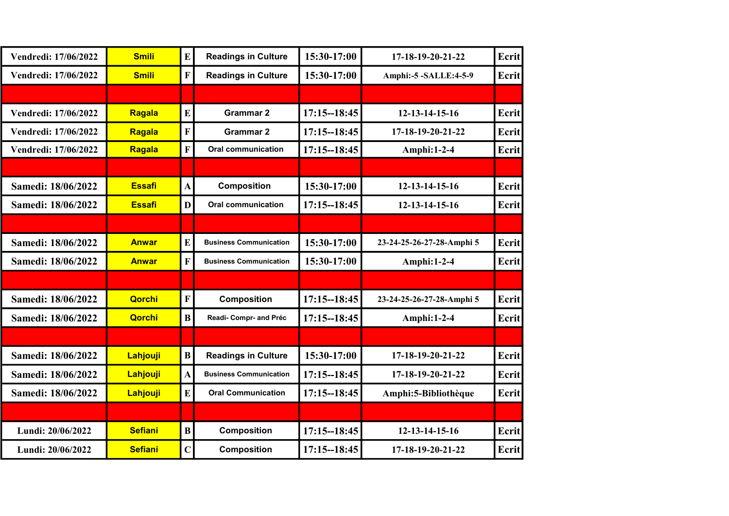| Vendredi: 17/06/2022 | <b>Smili</b>   | E              | <b>Readings in Culture</b>    | 15:30-17:00     | 17-18-19-20-21-22         | Ecrit |
|----------------------|----------------|----------------|-------------------------------|-----------------|---------------------------|-------|
| Vendredi: 17/06/2022 | <b>Smili</b>   | F              | <b>Readings in Culture</b>    | 15:30-17:00     | Amphi:-5 -SALLE:4-5-9     | Ecrit |
|                      |                |                |                               |                 |                           |       |
| Vendredi: 17/06/2022 | Ragala         | E              | <b>Grammar 2</b>              | $17:15 - 18:45$ | 12-13-14-15-16            | Ecrit |
| Vendredi: 17/06/2022 | Ragala         | F              | <b>Grammar 2</b>              | $17:15 - 18:45$ | 17-18-19-20-21-22         | Ecrit |
| Vendredi: 17/06/2022 | Ragala         | F              | <b>Oral communication</b>     | $17:15 - 18:45$ | <b>Amphi:1-2-4</b>        | Ecrit |
|                      |                |                |                               |                 |                           |       |
| Samedi: 18/06/2022   | <b>Essafi</b>  | $\mathbf{A}$   | <b>Composition</b>            | 15:30-17:00     | 12-13-14-15-16            | Ecrit |
| Samedi: 18/06/2022   | <b>Essafi</b>  | D              | <b>Oral communication</b>     | $17:15 - 18:45$ | 12-13-14-15-16            | Ecrit |
|                      |                |                |                               |                 |                           |       |
| Samedi: 18/06/2022   | <b>Anwar</b>   | E              | <b>Business Communication</b> | 15:30-17:00     | 23-24-25-26-27-28-Amphi 5 | Ecrit |
| Samedi: 18/06/2022   | <b>Anwar</b>   | F              | <b>Business Communication</b> | 15:30-17:00     | Amphi: $1-2-4$            | Ecrit |
|                      |                |                |                               |                 |                           |       |
| Samedi: 18/06/2022   | <b>Qorchi</b>  | F              | <b>Composition</b>            | $17:15 - 18:45$ | 23-24-25-26-27-28-Amphi 5 | Ecrit |
| Samedi: 18/06/2022   | <b>Qorchi</b>  | $\bf{B}$       | Readi- Compr- and Préc        | $17:15 - 18:45$ | Amphi:1-2-4               | Ecrit |
|                      |                |                |                               |                 |                           |       |
| Samedi: 18/06/2022   | Lahjouji       | B              | <b>Readings in Culture</b>    | 15:30-17:00     | 17-18-19-20-21-22         | Ecrit |
| Samedi: 18/06/2022   | Lahjouji       | $\mathbf{A}$   | <b>Business Communication</b> | $17:15 - 18:45$ | 17-18-19-20-21-22         | Ecrit |
| Samedi: 18/06/2022   | Lahjouji       | E              | <b>Oral Communication</b>     | $17:15 - 18:45$ | Amphi: 5-Bibliothèque     | Ecrit |
|                      |                |                |                               |                 |                           |       |
| Lundi: 20/06/2022    | <b>Sefiani</b> | B              | <b>Composition</b>            | $17:15 - 18:45$ | 12-13-14-15-16            | Ecrit |
| Lundi: 20/06/2022    | <b>Sefiani</b> | $\overline{C}$ | <b>Composition</b>            | $17:15 - 18:45$ | 17-18-19-20-21-22         | Ecrit |